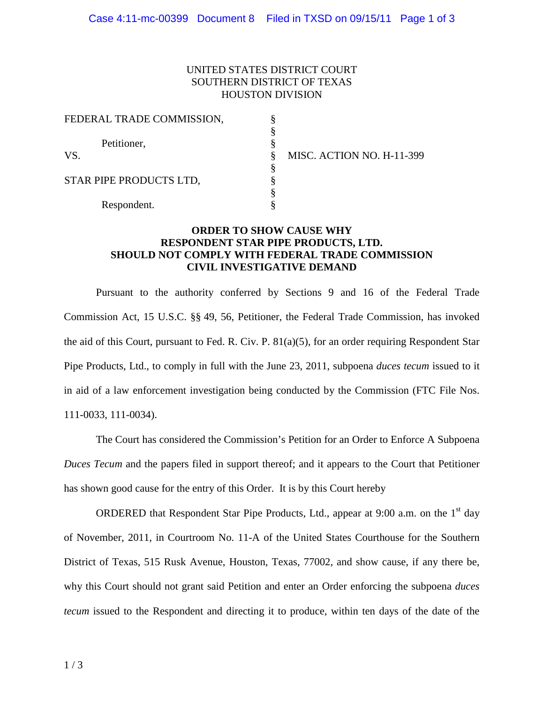## UNITED STATES DISTRICT COURT SOUTHERN DISTRICT OF TEXAS HOUSTON DIVISION

| FEDERAL TRADE COMMISSION, |                           |
|---------------------------|---------------------------|
|                           |                           |
| Petitioner,               |                           |
| VS.                       | MISC. ACTION NO. H-11-399 |
|                           |                           |
| STAR PIPE PRODUCTS LTD,   |                           |
|                           |                           |
| Respondent.               |                           |

## **ORDER TO SHOW CAUSE WHY RESPONDENT STAR PIPE PRODUCTS, LTD. SHOULD NOT COMPLY WITH FEDERAL TRADE COMMISSION CIVIL INVESTIGATIVE DEMAND**

 Pursuant to the authority conferred by Sections 9 and 16 of the Federal Trade Commission Act, 15 U.S.C. §§ 49, 56, Petitioner, the Federal Trade Commission, has invoked the aid of this Court, pursuant to Fed. R. Civ. P. 81(a)(5), for an order requiring Respondent Star Pipe Products, Ltd., to comply in full with the June 23, 2011, subpoena *duces tecum* issued to it in aid of a law enforcement investigation being conducted by the Commission (FTC File Nos. 111-0033, 111-0034).

 *Duces Tecum* and the papers filed in support thereof; and it appears to the Court that Petitioner has shown good cause for the entry of this Order. It is by this Court hereby The Court has considered the Commission's Petition for an Order to Enforce A Subpoena

ORDERED that Respondent Star Pipe Products, Ltd., appear at  $9:00$  a.m. on the  $1<sup>st</sup>$  day of November, 2011, in Courtroom No. 11-A of the United States Courthouse for the Southern District of Texas, 515 Rusk Avenue, Houston, Texas, 77002, and show cause, if any there be, why this Court should not grant said Petition and enter an Order enforcing the subpoena *duces tecum* issued to the Respondent and directing it to produce, within ten days of the date of the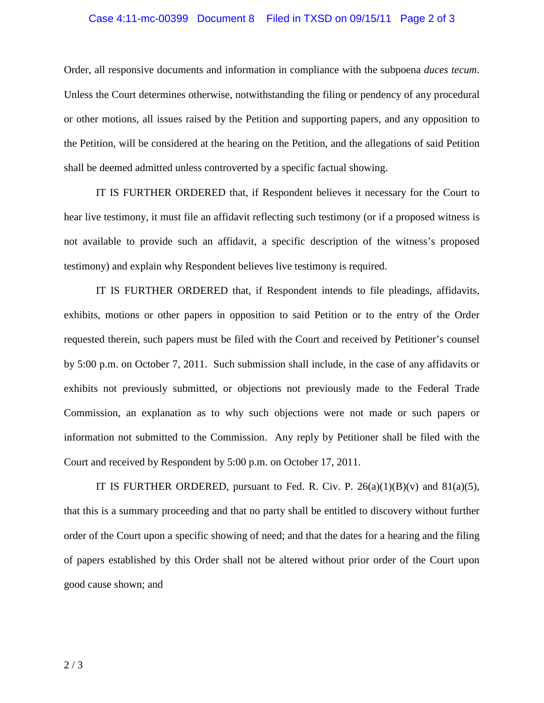## Case 4:11-mc-00399 Document 8 Filed in TXSD on 09/15/11 Page 2 of 3

 Order, all responsive documents and information in compliance with the subpoena *duces tecum*. Unless the Court determines otherwise, notwithstanding the filing or pendency of any procedural or other motions, all issues raised by the Petition and supporting papers, and any opposition to the Petition, will be considered at the hearing on the Petition, and the allegations of said Petition shall be deemed admitted unless controverted by a specific factual showing.

 hear live testimony, it must file an affidavit reflecting such testimony (or if a proposed witness is not available to provide such an affidavit, a specific description of the witness's proposed testimony) and explain why Respondent believes live testimony is required. IT IS FURTHER ORDERED that, if Respondent believes it necessary for the Court to

 exhibits, motions or other papers in opposition to said Petition or to the entry of the Order requested therein, such papers must be filed with the Court and received by Petitioner's counsel by 5:00 p.m. on October 7, 2011. Such submission shall include, in the case of any affidavits or exhibits not previously submitted, or objections not previously made to the Federal Trade Commission, an explanation as to why such objections were not made or such papers or information not submitted to the Commission. Any reply by Petitioner shall be filed with the Court and received by Respondent by 5:00 p.m. on October 17, 2011. IT IS FURTHER ORDERED that, if Respondent intends to file pleadings, affidavits,

 that this is a summary proceeding and that no party shall be entitled to discovery without further order of the Court upon a specific showing of need; and that the dates for a hearing and the filing of papers established by this Order shall not be altered without prior order of the Court upon good cause shown; and IT IS FURTHER ORDERED, pursuant to Fed. R. Civ. P.  $26(a)(1)(B)(v)$  and  $81(a)(5)$ ,